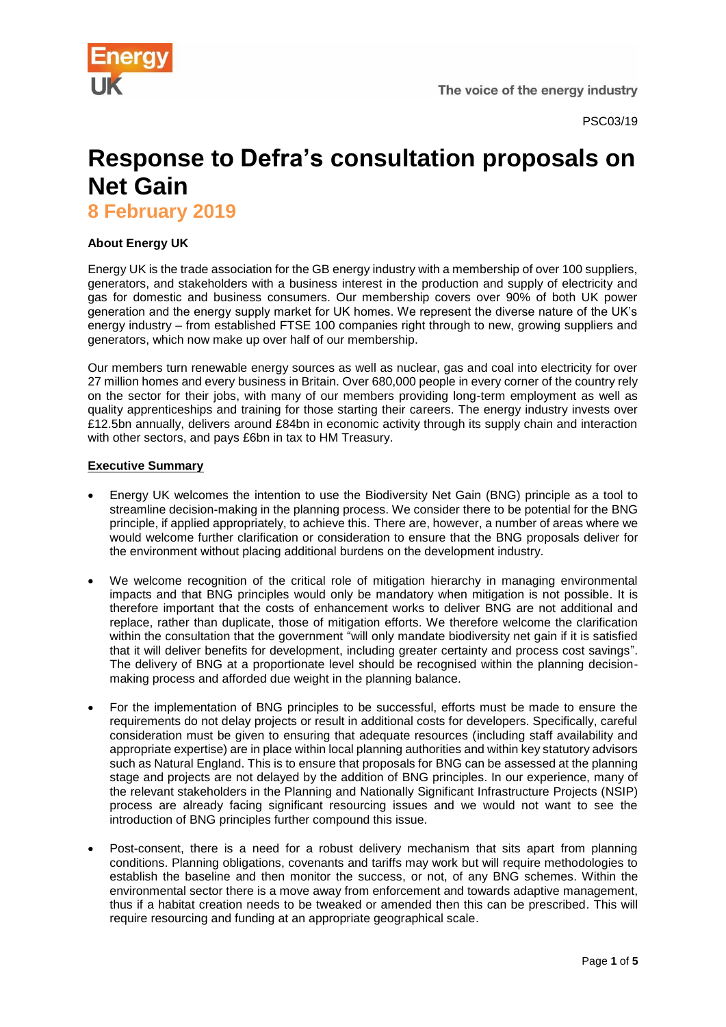

# **Response to Defra's consultation proposals on Net Gain**

**8 February 2019**

# **About Energy UK**

Energy UK is the trade association for the GB energy industry with a membership of over 100 suppliers, generators, and stakeholders with a business interest in the production and supply of electricity and gas for domestic and business consumers. Our membership covers over 90% of both UK power generation and the energy supply market for UK homes. We represent the diverse nature of the UK's energy industry – from established FTSE 100 companies right through to new, growing suppliers and generators, which now make up over half of our membership.

Our members turn renewable energy sources as well as nuclear, gas and coal into electricity for over 27 million homes and every business in Britain. Over 680,000 people in every corner of the country rely on the sector for their jobs, with many of our members providing long-term employment as well as quality apprenticeships and training for those starting their careers. The energy industry invests over £12.5bn annually, delivers around £84bn in economic activity through its supply chain and interaction with other sectors, and pays £6bn in tax to HM Treasury.

## **Executive Summary**

- Energy UK welcomes the intention to use the Biodiversity Net Gain (BNG) principle as a tool to streamline decision-making in the planning process. We consider there to be potential for the BNG principle, if applied appropriately, to achieve this. There are, however, a number of areas where we would welcome further clarification or consideration to ensure that the BNG proposals deliver for the environment without placing additional burdens on the development industry.
- We welcome recognition of the critical role of mitigation hierarchy in managing environmental impacts and that BNG principles would only be mandatory when mitigation is not possible. It is therefore important that the costs of enhancement works to deliver BNG are not additional and replace, rather than duplicate, those of mitigation efforts. We therefore welcome the clarification within the consultation that the government "will only mandate biodiversity net gain if it is satisfied that it will deliver benefits for development, including greater certainty and process cost savings". The delivery of BNG at a proportionate level should be recognised within the planning decisionmaking process and afforded due weight in the planning balance.
- For the implementation of BNG principles to be successful, efforts must be made to ensure the requirements do not delay projects or result in additional costs for developers. Specifically, careful consideration must be given to ensuring that adequate resources (including staff availability and appropriate expertise) are in place within local planning authorities and within key statutory advisors such as Natural England. This is to ensure that proposals for BNG can be assessed at the planning stage and projects are not delayed by the addition of BNG principles. In our experience, many of the relevant stakeholders in the Planning and Nationally Significant Infrastructure Projects (NSIP) process are already facing significant resourcing issues and we would not want to see the introduction of BNG principles further compound this issue.
- Post-consent, there is a need for a robust delivery mechanism that sits apart from planning conditions. Planning obligations, covenants and tariffs may work but will require methodologies to establish the baseline and then monitor the success, or not, of any BNG schemes. Within the environmental sector there is a move away from enforcement and towards adaptive management, thus if a habitat creation needs to be tweaked or amended then this can be prescribed. This will require resourcing and funding at an appropriate geographical scale.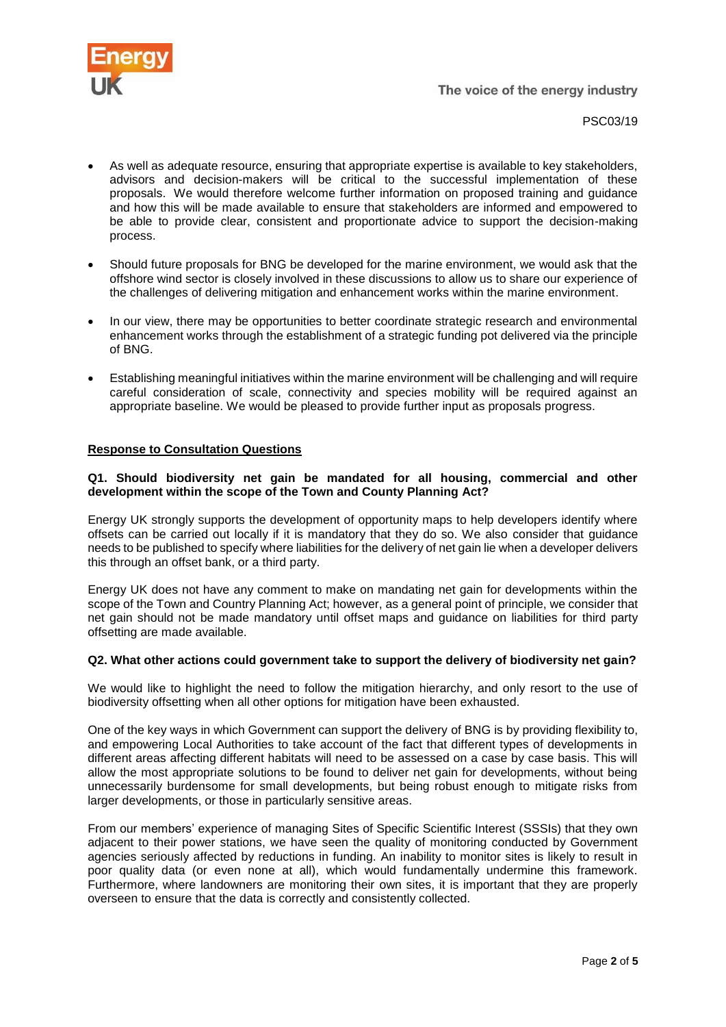

- As well as adequate resource, ensuring that appropriate expertise is available to key stakeholders, advisors and decision-makers will be critical to the successful implementation of these proposals. We would therefore welcome further information on proposed training and guidance and how this will be made available to ensure that stakeholders are informed and empowered to be able to provide clear, consistent and proportionate advice to support the decision-making process.
- Should future proposals for BNG be developed for the marine environment, we would ask that the offshore wind sector is closely involved in these discussions to allow us to share our experience of the challenges of delivering mitigation and enhancement works within the marine environment.
- In our view, there may be opportunities to better coordinate strategic research and environmental enhancement works through the establishment of a strategic funding pot delivered via the principle of BNG.
- Establishing meaningful initiatives within the marine environment will be challenging and will require careful consideration of scale, connectivity and species mobility will be required against an appropriate baseline. We would be pleased to provide further input as proposals progress.

## **Response to Consultation Questions**

## **Q1. Should biodiversity net gain be mandated for all housing, commercial and other development within the scope of the Town and County Planning Act?**

Energy UK strongly supports the development of opportunity maps to help developers identify where offsets can be carried out locally if it is mandatory that they do so. We also consider that guidance needs to be published to specify where liabilities for the delivery of net gain lie when a developer delivers this through an offset bank, or a third party.

Energy UK does not have any comment to make on mandating net gain for developments within the scope of the Town and Country Planning Act; however, as a general point of principle, we consider that net gain should not be made mandatory until offset maps and guidance on liabilities for third party offsetting are made available.

## **Q2. What other actions could government take to support the delivery of biodiversity net gain?**

We would like to highlight the need to follow the mitigation hierarchy, and only resort to the use of biodiversity offsetting when all other options for mitigation have been exhausted.

One of the key ways in which Government can support the delivery of BNG is by providing flexibility to, and empowering Local Authorities to take account of the fact that different types of developments in different areas affecting different habitats will need to be assessed on a case by case basis. This will allow the most appropriate solutions to be found to deliver net gain for developments, without being unnecessarily burdensome for small developments, but being robust enough to mitigate risks from larger developments, or those in particularly sensitive areas.

From our members' experience of managing Sites of Specific Scientific Interest (SSSIs) that they own adjacent to their power stations, we have seen the quality of monitoring conducted by Government agencies seriously affected by reductions in funding. An inability to monitor sites is likely to result in poor quality data (or even none at all), which would fundamentally undermine this framework. Furthermore, where landowners are monitoring their own sites, it is important that they are properly overseen to ensure that the data is correctly and consistently collected.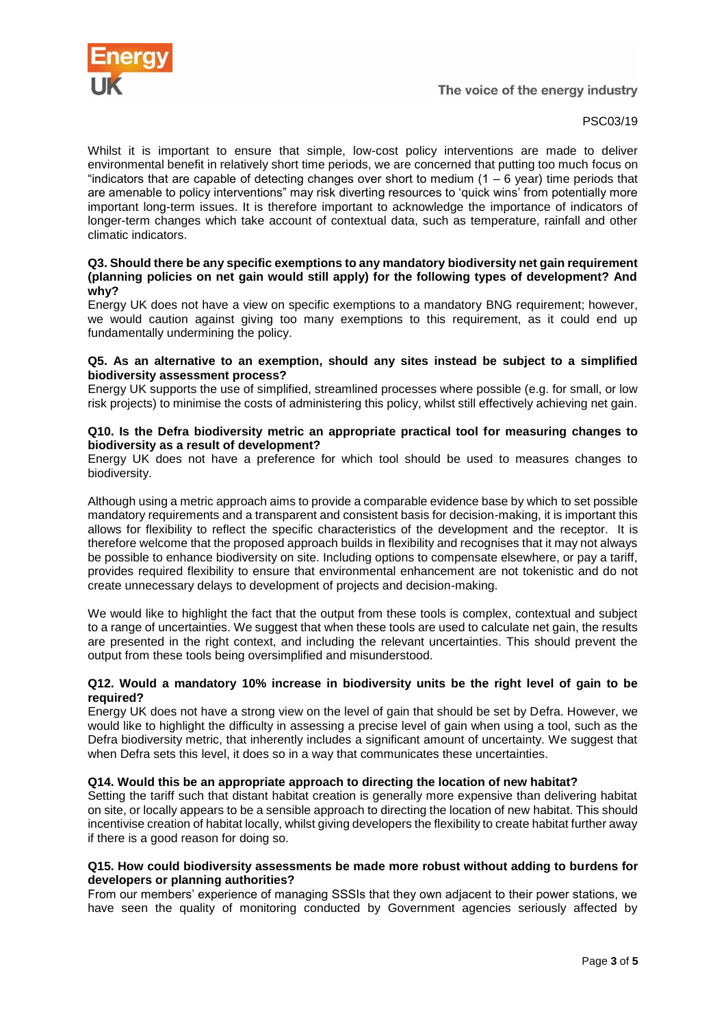

The voice of the energy industry

# PSC03/19

Whilst it is important to ensure that simple, low-cost policy interventions are made to deliver environmental benefit in relatively short time periods, we are concerned that putting too much focus on "indicators that are capable of detecting changes over short to medium (1 – 6 year) time periods that are amenable to policy interventions" may risk diverting resources to 'quick wins' from potentially more important long-term issues. It is therefore important to acknowledge the importance of indicators of longer-term changes which take account of contextual data, such as temperature, rainfall and other climatic indicators.

## **Q3. Should there be any specific exemptions to any mandatory biodiversity net gain requirement (planning policies on net gain would still apply) for the following types of development? And why?**

Energy UK does not have a view on specific exemptions to a mandatory BNG requirement; however, we would caution against giving too many exemptions to this requirement, as it could end up fundamentally undermining the policy.

## **Q5. As an alternative to an exemption, should any sites instead be subject to a simplified biodiversity assessment process?**

Energy UK supports the use of simplified, streamlined processes where possible (e.g. for small, or low risk projects) to minimise the costs of administering this policy, whilst still effectively achieving net gain.

## **Q10. Is the Defra biodiversity metric an appropriate practical tool for measuring changes to biodiversity as a result of development?**

Energy UK does not have a preference for which tool should be used to measures changes to biodiversity.

Although using a metric approach aims to provide a comparable evidence base by which to set possible mandatory requirements and a transparent and consistent basis for decision-making, it is important this allows for flexibility to reflect the specific characteristics of the development and the receptor. It is therefore welcome that the proposed approach builds in flexibility and recognises that it may not always be possible to enhance biodiversity on site. Including options to compensate elsewhere, or pay a tariff, provides required flexibility to ensure that environmental enhancement are not tokenistic and do not create unnecessary delays to development of projects and decision-making.

We would like to highlight the fact that the output from these tools is complex, contextual and subject to a range of uncertainties. We suggest that when these tools are used to calculate net gain, the results are presented in the right context, and including the relevant uncertainties. This should prevent the output from these tools being oversimplified and misunderstood.

## **Q12. Would a mandatory 10% increase in biodiversity units be the right level of gain to be required?**

Energy UK does not have a strong view on the level of gain that should be set by Defra. However, we would like to highlight the difficulty in assessing a precise level of gain when using a tool, such as the Defra biodiversity metric, that inherently includes a significant amount of uncertainty. We suggest that when Defra sets this level, it does so in a way that communicates these uncertainties.

# **Q14. Would this be an appropriate approach to directing the location of new habitat?**

Setting the tariff such that distant habitat creation is generally more expensive than delivering habitat on site, or locally appears to be a sensible approach to directing the location of new habitat. This should incentivise creation of habitat locally, whilst giving developers the flexibility to create habitat further away if there is a good reason for doing so.

## **Q15. How could biodiversity assessments be made more robust without adding to burdens for developers or planning authorities?**

From our members' experience of managing SSSIs that they own adjacent to their power stations, we have seen the quality of monitoring conducted by Government agencies seriously affected by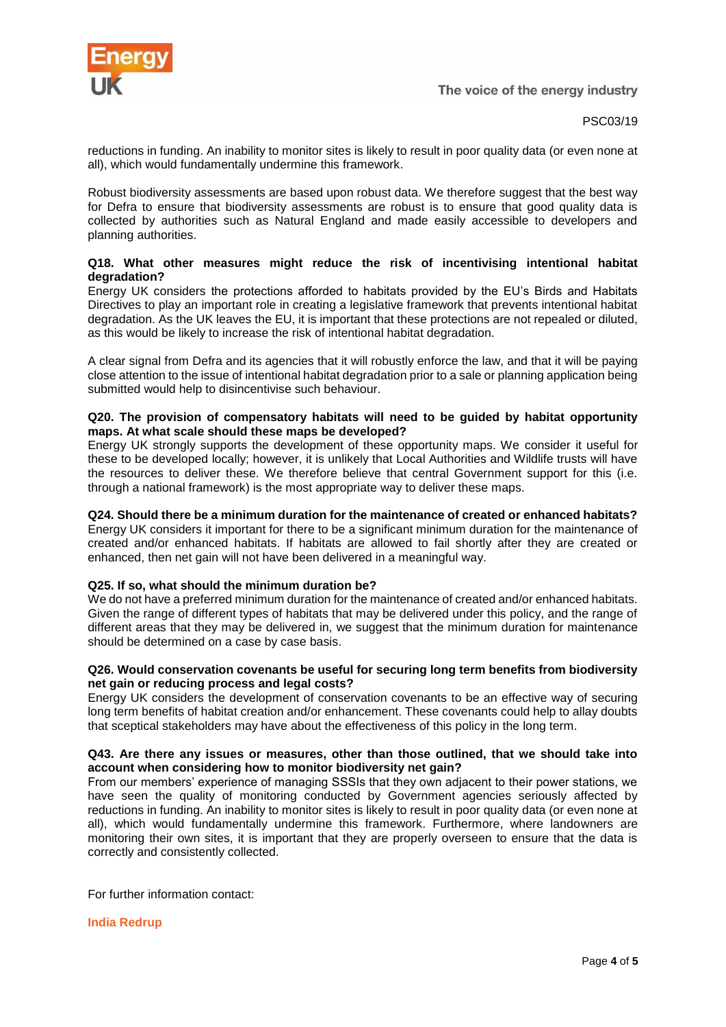

PSC03/19

reductions in funding. An inability to monitor sites is likely to result in poor quality data (or even none at all), which would fundamentally undermine this framework.

Robust biodiversity assessments are based upon robust data. We therefore suggest that the best way for Defra to ensure that biodiversity assessments are robust is to ensure that good quality data is collected by authorities such as Natural England and made easily accessible to developers and planning authorities.

## **Q18. What other measures might reduce the risk of incentivising intentional habitat degradation?**

Energy UK considers the protections afforded to habitats provided by the EU's Birds and Habitats Directives to play an important role in creating a legislative framework that prevents intentional habitat degradation. As the UK leaves the EU, it is important that these protections are not repealed or diluted, as this would be likely to increase the risk of intentional habitat degradation.

A clear signal from Defra and its agencies that it will robustly enforce the law, and that it will be paying close attention to the issue of intentional habitat degradation prior to a sale or planning application being submitted would help to disincentivise such behaviour.

## **Q20. The provision of compensatory habitats will need to be guided by habitat opportunity maps. At what scale should these maps be developed?**

Energy UK strongly supports the development of these opportunity maps. We consider it useful for these to be developed locally; however, it is unlikely that Local Authorities and Wildlife trusts will have the resources to deliver these. We therefore believe that central Government support for this (i.e. through a national framework) is the most appropriate way to deliver these maps.

# **Q24. Should there be a minimum duration for the maintenance of created or enhanced habitats?**

Energy UK considers it important for there to be a significant minimum duration for the maintenance of created and/or enhanced habitats. If habitats are allowed to fail shortly after they are created or enhanced, then net gain will not have been delivered in a meaningful way.

## **Q25. If so, what should the minimum duration be?**

We do not have a preferred minimum duration for the maintenance of created and/or enhanced habitats. Given the range of different types of habitats that may be delivered under this policy, and the range of different areas that they may be delivered in, we suggest that the minimum duration for maintenance should be determined on a case by case basis.

## **Q26. Would conservation covenants be useful for securing long term benefits from biodiversity net gain or reducing process and legal costs?**

Energy UK considers the development of conservation covenants to be an effective way of securing long term benefits of habitat creation and/or enhancement. These covenants could help to allay doubts that sceptical stakeholders may have about the effectiveness of this policy in the long term.

## **Q43. Are there any issues or measures, other than those outlined, that we should take into account when considering how to monitor biodiversity net gain?**

From our members' experience of managing SSSIs that they own adjacent to their power stations, we have seen the quality of monitoring conducted by Government agencies seriously affected by reductions in funding. An inability to monitor sites is likely to result in poor quality data (or even none at all), which would fundamentally undermine this framework. Furthermore, where landowners are monitoring their own sites, it is important that they are properly overseen to ensure that the data is correctly and consistently collected.

For further information contact:

## **India Redrup**